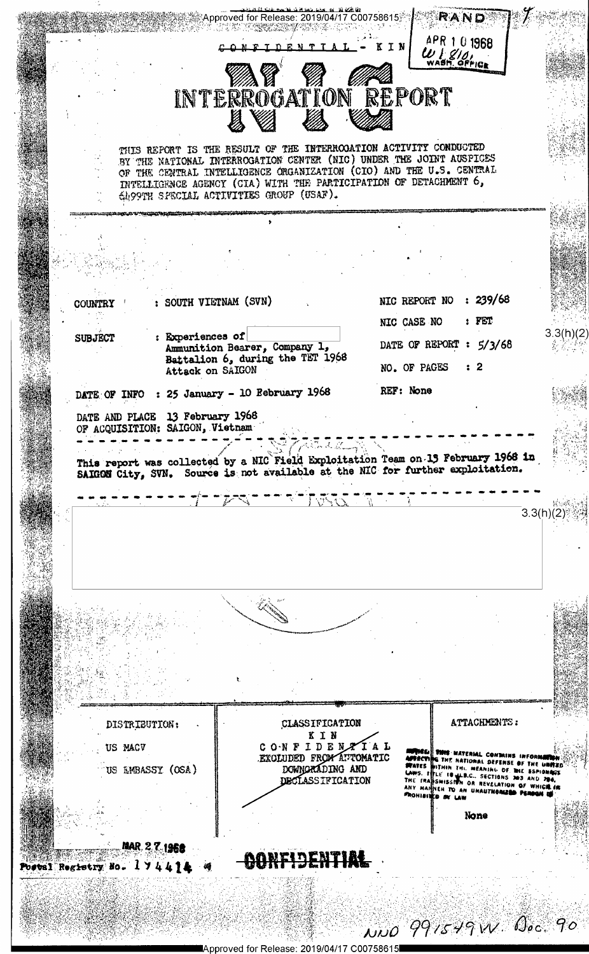

Approved for Release: 2019/04/17 C00758615